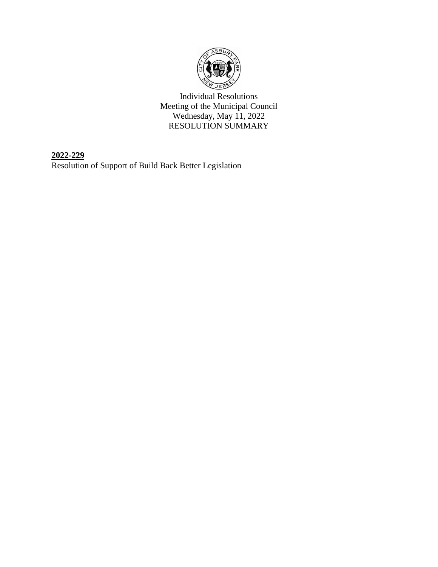

Individual Resolutions Meeting of the Municipal Council Wednesday, May 11, 2022 RESOLUTION SUMMARY

**2022-229** Resolution of Support of Build Back Better Legislation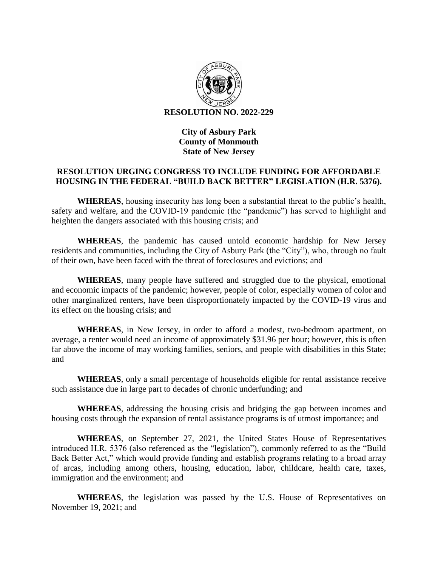

## **City of Asbury Park County of Monmouth State of New Jersey**

## **RESOLUTION URGING CONGRESS TO INCLUDE FUNDING FOR AFFORDABLE HOUSING IN THE FEDERAL "BUILD BACK BETTER" LEGISLATION (H.R. 5376).**

**WHEREAS**, housing insecurity has long been a substantial threat to the public's health, safety and welfare, and the COVID-19 pandemic (the "pandemic") has served to highlight and heighten the dangers associated with this housing crisis; and

**WHEREAS**, the pandemic has caused untold economic hardship for New Jersey residents and communities, including the City of Asbury Park (the "City"), who, through no fault of their own, have been faced with the threat of foreclosures and evictions; and

**WHEREAS**, many people have suffered and struggled due to the physical, emotional and economic impacts of the pandemic; however, people of color, especially women of color and other marginalized renters, have been disproportionately impacted by the COVID-19 virus and its effect on the housing crisis; and

**WHEREAS**, in New Jersey, in order to afford a modest, two-bedroom apartment, on average, a renter would need an income of approximately \$31.96 per hour; however, this is often far above the income of may working families, seniors, and people with disabilities in this State; and

**WHEREAS**, only a small percentage of households eligible for rental assistance receive such assistance due in large part to decades of chronic underfunding; and

**WHEREAS**, addressing the housing crisis and bridging the gap between incomes and housing costs through the expansion of rental assistance programs is of utmost importance; and

**WHEREAS**, on September 27, 2021, the United States House of Representatives introduced H.R. 5376 (also referenced as the "legislation"), commonly referred to as the "Build Back Better Act," which would provide funding and establish programs relating to a broad array of arcas, including among others, housing, education, labor, childcare, health care, taxes, immigration and the environment; and

**WHEREAS**, the legislation was passed by the U.S. House of Representatives on November 19, 2021; and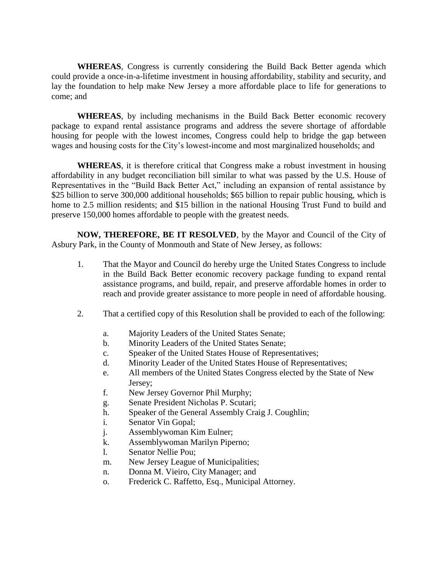**WHEREAS**, Congress is currently considering the Build Back Better agenda which could provide a once-in-a-lifetime investment in housing affordability, stability and security, and lay the foundation to help make New Jersey a more affordable place to life for generations to come; and

**WHEREAS**, by including mechanisms in the Build Back Better economic recovery package to expand rental assistance programs and address the severe shortage of affordable housing for people with the lowest incomes, Congress could help to bridge the gap between wages and housing costs for the City's lowest-income and most marginalized households; and

**WHEREAS**, it is therefore critical that Congress make a robust investment in housing affordability in any budget reconciliation bill similar to what was passed by the U.S. House of Representatives in the "Build Back Better Act," including an expansion of rental assistance by \$25 billion to serve 300,000 additional households; \$65 billion to repair public housing, which is home to 2.5 million residents; and \$15 billion in the national Housing Trust Fund to build and preserve 150,000 homes affordable to people with the greatest needs.

**NOW, THEREFORE, BE IT RESOLVED**, by the Mayor and Council of the City of Asbury Park, in the County of Monmouth and State of New Jersey, as follows:

- 1. That the Mayor and Council do hereby urge the United States Congress to include in the Build Back Better economic recovery package funding to expand rental assistance programs, and build, repair, and preserve affordable homes in order to reach and provide greater assistance to more people in need of affordable housing.
- 2. That a certified copy of this Resolution shall be provided to each of the following:
	- a. Majority Leaders of the United States Senate;
	- b. Minority Leaders of the United States Senate;
	- c. Speaker of the United States House of Representatives;
	- d. Minority Leader of the United States House of Representatives;
	- e. All members of the United States Congress elected by the State of New Jersey;
	- f. New Jersey Governor Phil Murphy;
	- g. Senate President Nicholas P. Scutari;
	- h. Speaker of the General Assembly Craig J. Coughlin;
	- i. Senator Vin Gopal;
	- j. Assemblywoman Kim Eulner;
	- k. Assemblywoman Marilyn Piperno;
	- l. Senator Nellie Pou;
	- m. New Jersey League of Municipalities;
	- n. Donna M. Vieiro, City Manager; and
	- o. Frederick C. Raffetto, Esq., Municipal Attorney.